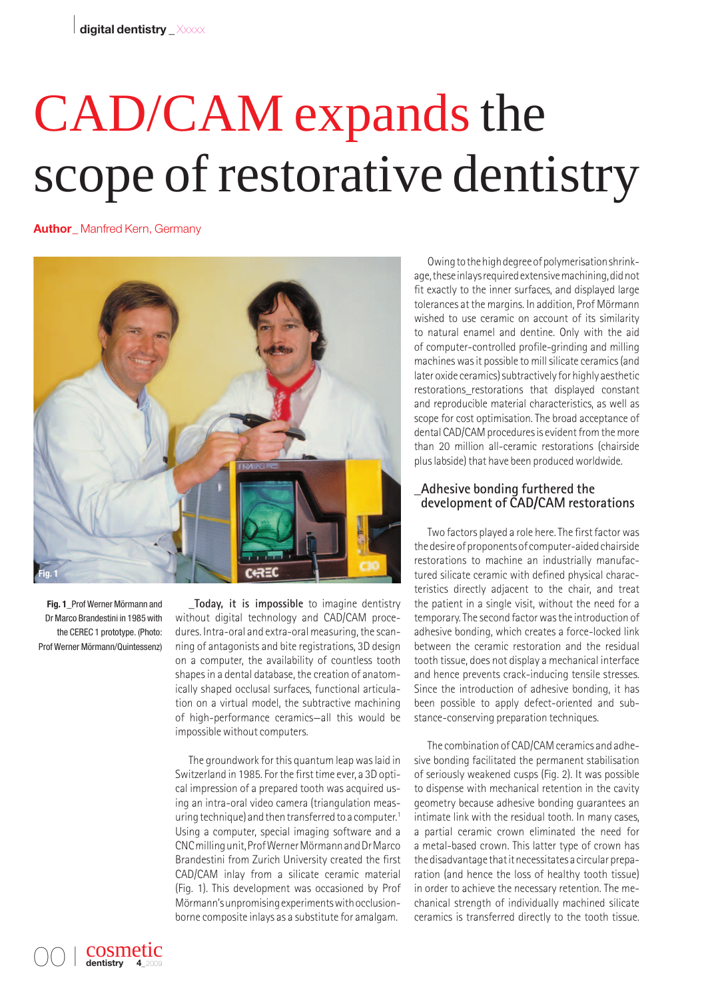# CAD/CAM expands the scope of restorative dentistry

**Author\_** Manfred Kern, Germany



**Fig. 1\_**Prof Werner Mörmann and Dr Marco Brandestini in 1985 with the CEREC 1 prototype. (Photo: Prof Werner Mörmann/Quintessenz)

> cosmetic dentistry

00 I

**\_Today, it is impossible** to imagine dentistry without digital technology and CAD/CAM procedures. Intra-oral and extra-oral measuring, the scanning of antagonists and bite registrations, 3D design on a computer, the availability of countless tooth shapes in a dental database, the creation of anatomically shaped occlusal surfaces, functional articulation on a virtual model, the subtractive machining of high-performance ceramics—all this would be impossible without computers.

The groundwork for this quantum leap was laid in Switzerland in 1985. For the first time ever, a 3D optical impression of a prepared tooth was acquired using an intra-oral video camera (triangulation measuring technique) and then transferred to a computer.<sup>1</sup> Using a computer, special imaging software and a CNC milling unit, Prof Werner Mörmann and Dr Marco Brandestini from Zurich University created the first CAD/CAM inlay from a silicate ceramic material (Fig. 1). This development was occasioned by Prof Mörmann's unpromising experiments with occlusionborne composite inlays as a substitute for amalgam.

Owing to the high degree of polymerisation shrinkage, these inlays required extensive machining, did not fit exactly to the inner surfaces, and displayed large tolerances at the margins. In addition, Prof Mörmann wished to use ceramic on account of its similarity to natural enamel and dentine. Only with the aid of computer-controlled profile-grinding and milling machines was it possible to mill silicate ceramics (and later oxide ceramics) subtractively for highly aesthetic restorations restorations that displayed constant and reproducible material characteristics, as well as scope for cost optimisation. The broad acceptance of dental CAD/CAM procedures is evident from the more than 20 million all-ceramic restorations (chairside plus labside) that have been produced worldwide.

# **\_Adhesive bonding furthered the development of CAD/CAM restorations**

Two factors played a role here. The first factor was the desire of proponents of computer-aided chairside restorations to machine an industrially manufactured silicate ceramic with defined physical characteristics directly adjacent to the chair, and treat the patient in a single visit, without the need for a temporary. The second factor was the introduction of adhesive bonding, which creates a force-locked link between the ceramic restoration and the residual tooth tissue, does not display a mechanical interface and hence prevents crack-inducing tensile stresses. Since the introduction of adhesive bonding, it has been possible to apply defect-oriented and substance-conserving preparation techniques.

The combination of CAD/CAM ceramics and adhesive bonding facilitated the permanent stabilisation of seriously weakened cusps (Fig. 2). It was possible to dispense with mechanical retention in the cavity geometry because adhesive bonding guarantees an intimate link with the residual tooth. In many cases, a partial ceramic crown eliminated the need for a metal-based crown. This latter type of crown has the disadvantage that it necessitates a circular preparation (and hence the loss of healthy tooth tissue) in order to achieve the necessary retention. The mechanical strength of individually machined silicate ceramics is transferred directly to the tooth tissue.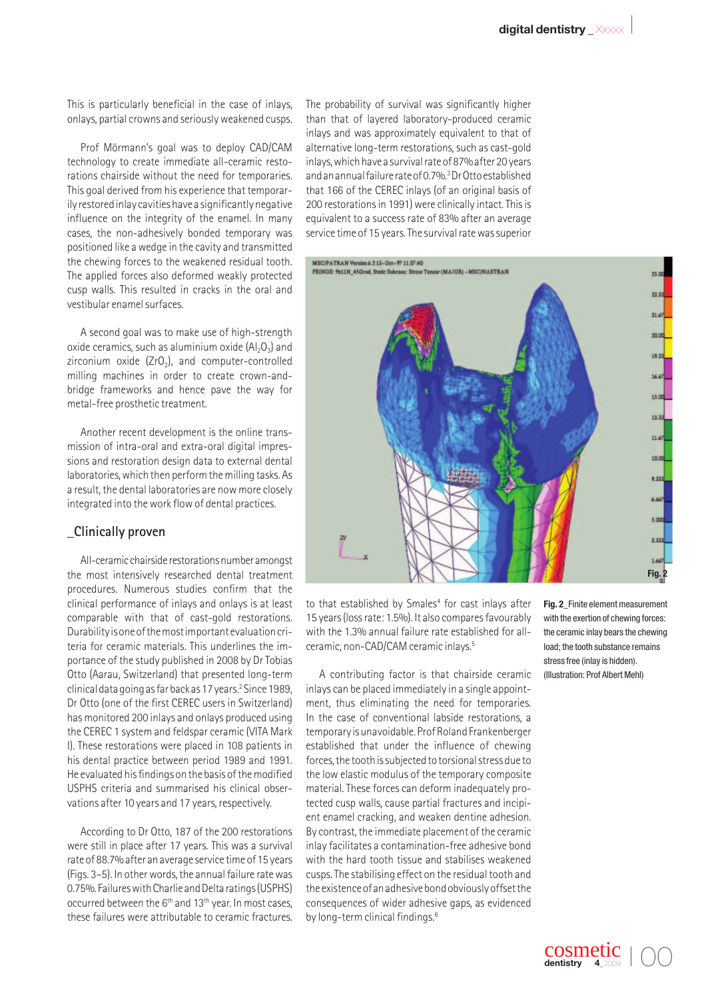This is particularly beneficial in the case of inlays, onlays, partial crowns and seriously weakened cusps.

Prof Mörmann's goal was to deploy CAD/CAM technology to create immediate all-ceramic restorations chairside without the need for temporaries. This goal derived from his experience that temporarily restored inlay cavities have a significantly negative influence on the integrity of the enamel. In many cases, the non-adhesively bonded temporary was positioned like a wedge in the cavity and transmitted the chewing forces to the weakened residual tooth. The applied forces also deformed weakly protected cusp walls. This resulted in cracks in the oral and vestibular enamel surfaces.

A second goal was to make use of high-strength oxide ceramics, such as aluminium oxide  $(A|_2O_3)$  and zirconium oxide  $(ZrO<sub>2</sub>)$ , and computer-controlled milling machines in order to create crown-andbridge frameworks and hence pave the way for metal-free prosthetic treatment.

Another recent development is the online transmission of intra-oral and extra-oral digital impressions and restoration design data to external dental laboratories, which then perform the milling tasks. As a result, the dental laboratories are now more closely integrated into the work flow of dental practices.

#### **\_Clinically proven**

All-ceramic chairside restorations number amongst the most intensively researched dental treatment procedures. Numerous studies confirm that the clinical performance of inlays and onlays is at least comparable with that of cast-gold restorations. Durability is one of the most important evaluation criteria for ceramic materials. This underlines the importance of the study published in 2008 by Dr Tobias Otto (Aarau, Switzerland) that presented long-term clinical data going as far back as 17 years.2 Since 1989, Dr Otto (one of the first CEREC users in Switzerland) has monitored 200 inlays and onlays produced using the CEREC 1 system and feldspar ceramic (VITA Mark I). These restorations were placed in 108 patients in his dental practice between period 1989 and 1991. He evaluated his findings on the basis of the modified USPHS criteria and summarised his clinical observations after 10 years and 17 years, respectively.

According to Dr Otto, 187 of the 200 restorations were still in place after 17 years. This was a survival rate of 88.7% after an average service time of 15 years (Figs. 3–5). In other words, the annual failure rate was 0.75%. Failures with Charlie and Delta ratings (USPHS) occurred between the 6<sup>th</sup> and 13<sup>th</sup> year. In most cases, these failures were attributable to ceramic fractures.

The probability of survival was significantly higher than that of layered laboratory-produced ceramic inlays and was approximately equivalent to that of alternative long-term restorations, such as cast-gold inlays, which have a survival rate of 87% after 20 years and an annual failure rate of 0.7%.<sup>3</sup> Dr Otto established that 166 of the CEREC inlays (of an original basis of 200 restorations in 1991) were clinically intact. This is equivalent to a success rate of 83% after an average service time of 15 years. The survival rate was superior



to that established by Smales<sup>4</sup> for cast inlays after 15 years (loss rate: 1.5%). It also compares favourably with the 1.3% annual failure rate established for allceramic, non-CAD/CAM ceramic inlays.5

A contributing factor is that chairside ceramic inlays can be placed immediately in a single appointment, thus eliminating the need for temporaries. In the case of conventional labside restorations, a temporary is unavoidable. Prof Roland Frankenberger established that under the influence of chewing forces, the tooth is subjected to torsional stress due to the low elastic modulus of the temporary composite material. These forces can deform inadequately protected cusp walls, cause partial fractures and incipient enamel cracking, and weaken dentine adhesion. By contrast, the immediate placement of the ceramic inlay facilitates a contamination-free adhesive bond with the hard tooth tissue and stabilises weakened cusps. The stabilising effect on the residual tooth and the existence of an adhesive bond obviously offset the consequences of wider adhesive gaps, as evidenced by long-term clinical findings.<sup>6</sup>

**Fig. 2\_**Finite element measurement with the exertion of chewing forces: the ceramic inlay bears the chewing load; the tooth substance remains stress free (inlay is hidden). (Illustration: Prof Albert Mehl)

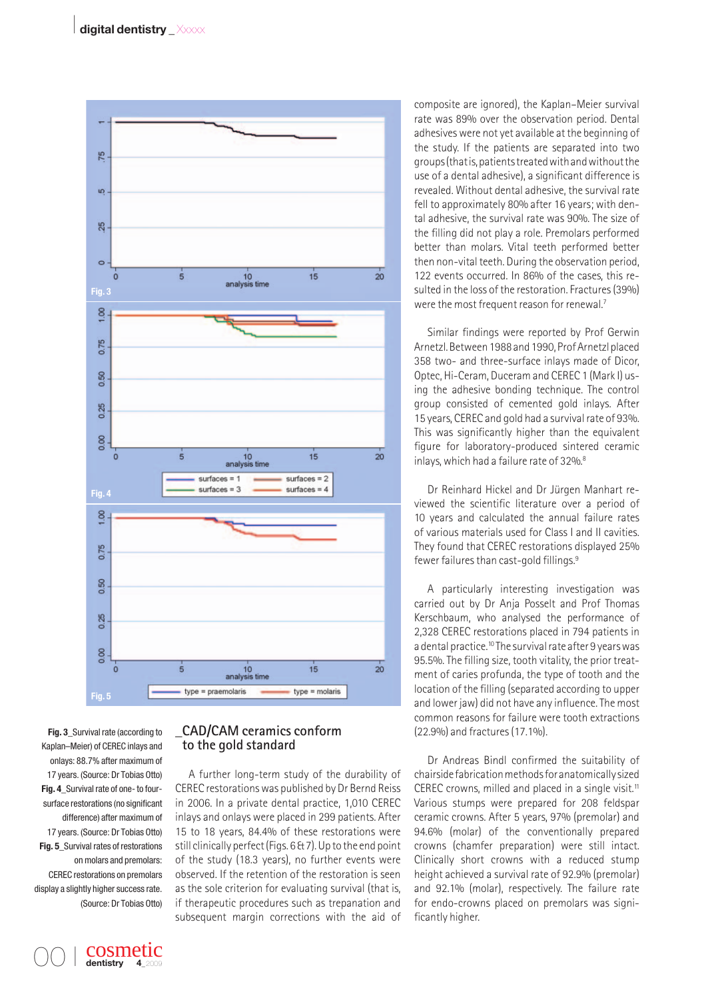

**Fig. 3\_**Survival rate (according to Kaplan–Meier) of CEREC inlays and onlays: 88.7% after maximum of 17 years. (Source: Dr Tobias Otto) **Fig. 4\_**Survival rate of one- to foursurface restorations (no significant difference) after maximum of 17 years. (Source: Dr Tobias Otto) **Fig. 5\_**Survival rates of restorations on molars and premolars: CEREC restorations on premolars display a slightly higher success rate. (Source: Dr Tobias Otto)

> cosmetic dentistry

00 I

## **\_CAD/CAM ceramics conform to the gold standard**

A further long-term study of the durability of CEREC restorations was published by Dr Bernd Reiss in 2006. In a private dental practice, 1,010 CEREC inlays and onlays were placed in 299 patients. After 15 to 18 years, 84.4% of these restorations were still clinically perfect (Figs. 6 & 7). Up to the end point of the study (18.3 years), no further events were observed. If the retention of the restoration is seen as the sole criterion for evaluating survival (that is, if therapeutic procedures such as trepanation and subsequent margin corrections with the aid of

composite are ignored), the Kaplan–Meier survival rate was 89% over the observation period. Dental adhesives were not yet available at the beginning of the study. If the patients are separated into two groups (that is, patients treated with and without the use of a dental adhesive), a significant difference is revealed. Without dental adhesive, the survival rate fell to approximately 80% after 16 years; with dental adhesive, the survival rate was 90%. The size of the filling did not play a role. Premolars performed better than molars. Vital teeth performed better then non-vital teeth. During the observation period, 122 events occurred. In 86% of the cases, this resulted in the loss of the restoration. Fractures (39%) were the most frequent reason for renewal.<sup>7</sup>

Similar findings were reported by Prof Gerwin Arnetzl. Between 1988 and 1990, Prof Arnetzl placed 358 two- and three-surface inlays made of Dicor, Optec, Hi-Ceram, Duceram and CEREC 1 (Mark I) using the adhesive bonding technique. The control group consisted of cemented gold inlays. After 15 years, CEREC and gold had a survival rate of 93%. This was significantly higher than the equivalent figure for laboratory-produced sintered ceramic inlays, which had a failure rate of 32%.<sup>8</sup>

Dr Reinhard Hickel and Dr Jürgen Manhart reviewed the scientific literature over a period of 10 years and calculated the annual failure rates of various materials used for Class I and II cavities. They found that CEREC restorations displayed 25% fewer failures than cast-gold fillings.<sup>9</sup>

A particularly interesting investigation was carried out by Dr Anja Posselt and Prof Thomas Kerschbaum, who analysed the performance of 2,328 CEREC restorations placed in 794 patients in a dental practice.<sup>10</sup> The survival rate after 9 years was 95.5%. The filling size, tooth vitality, the prior treatment of caries profunda, the type of tooth and the location of the filling (separated according to upper and lower jaw) did not have any influence. The most common reasons for failure were tooth extractions (22.9%) and fractures (17.1%).

Dr Andreas Bindl confirmed the suitability of chairside fabrication methods for anatomically sized CEREC crowns, milled and placed in a single visit.<sup>11</sup> Various stumps were prepared for 208 feldspar ceramic crowns. After 5 years, 97% (premolar) and 94.6% (molar) of the conventionally prepared crowns (chamfer preparation) were still intact. Clinically short crowns with a reduced stump height achieved a survival rate of 92.9% (premolar) and 92.1% (molar), respectively. The failure rate for endo-crowns placed on premolars was significantly higher.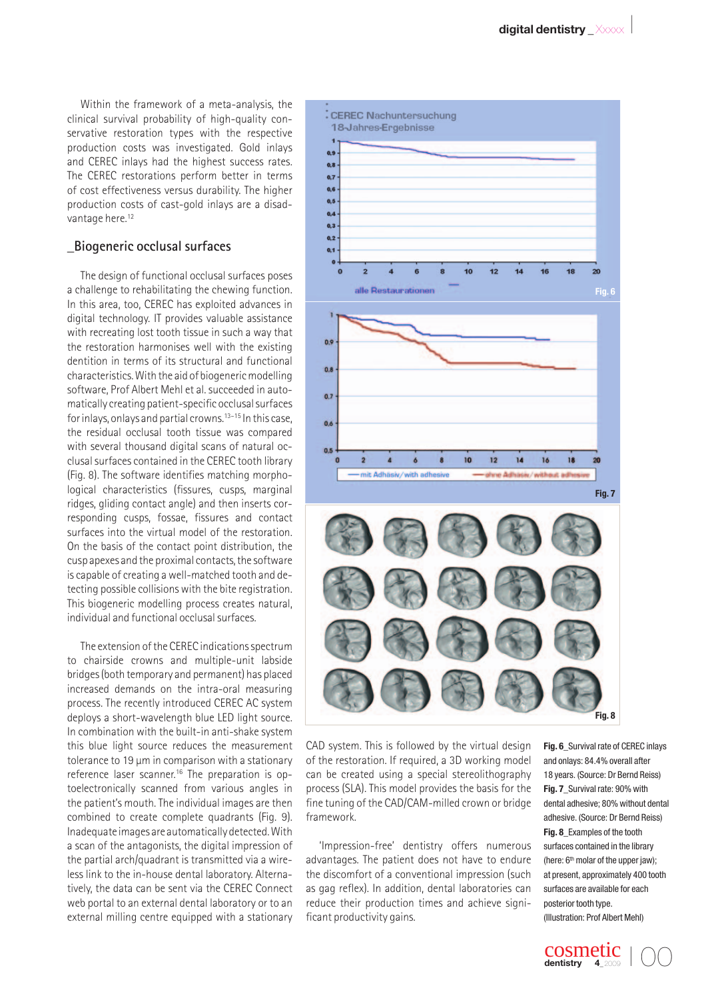Within the framework of a meta-analysis, the clinical survival probability of high-quality conservative restoration types with the respective production costs was investigated. Gold inlays and CEREC inlays had the highest success rates. The CEREC restorations perform better in terms of cost effectiveness versus durability. The higher production costs of cast-gold inlays are a disadvantage here.<sup>12</sup>

#### **\_Biogeneric occlusal surfaces**

The design of functional occlusal surfaces poses a challenge to rehabilitating the chewing function. In this area, too, CEREC has exploited advances in digital technology. IT provides valuable assistance with recreating lost tooth tissue in such a way that the restoration harmonises well with the existing dentition in terms of its structural and functional characteristics. With the aid of biogeneric modelling software, Prof Albert Mehl et al. succeeded in automatically creating patient-specific occlusal surfaces for inlays, onlays and partial crowns.<sup>13-15</sup> In this case, the residual occlusal tooth tissue was compared with several thousand digital scans of natural occlusal surfaces contained in the CEREC tooth library (Fig. 8). The software identifies matching morphological characteristics (fissures, cusps, marginal ridges, gliding contact angle) and then inserts corresponding cusps, fossae, fissures and contact surfaces into the virtual model of the restoration. On the basis of the contact point distribution, the cusp apexes and the proximal contacts, the software is capable of creating a well-matched tooth and detecting possible collisions with the bite registration. This biogeneric modelling process creates natural, individual and functional occlusal surfaces.

The extension of the CEREC indications spectrum to chairside crowns and multiple-unit labside bridges (both temporary and permanent) has placed increased demands on the intra-oral measuring process. The recently introduced CEREC AC system deploys a short-wavelength blue LED light source. In combination with the built-in anti-shake system this blue light source reduces the measurement tolerance to 19 µm in comparison with a stationary reference laser scanner.16 The preparation is optoelectronically scanned from various angles in the patient's mouth. The individual images are then combined to create complete quadrants (Fig. 9). Inadequate images are automatically detected. With a scan of the antagonists, the digital impression of the partial arch/quadrant is transmitted via a wireless link to the in-house dental laboratory. Alternatively, the data can be sent via the CEREC Connect web portal to an external dental laboratory or to an external milling centre equipped with a stationary



CAD system. This is followed by the virtual design of the restoration. If required, a 3D working model can be created using a special stereolithography process (SLA). This model provides the basis for the fine tuning of the CAD/CAM-milled crown or bridge framework.

'Impression-free' dentistry offers numerous advantages. The patient does not have to endure the discomfort of a conventional impression (such as gag reflex). In addition, dental laboratories can reduce their production times and achieve significant productivity gains.

**Fig. 6\_**Survival rate of CEREC inlays and onlays: 84.4% overall after 18 years. (Source: Dr Bernd Reiss) **Fig. 7\_**Survival rate: 90% with dental adhesive; 80% without dental adhesive. (Source: Dr Bernd Reiss) **Fig. 8\_**Examples of the tooth surfaces contained in the library (here:  $6<sup>th</sup>$  molar of the upper jaw); at present, approximately 400 tooth surfaces are available for each posterior tooth type. (Illustration: Prof Albert Mehl)